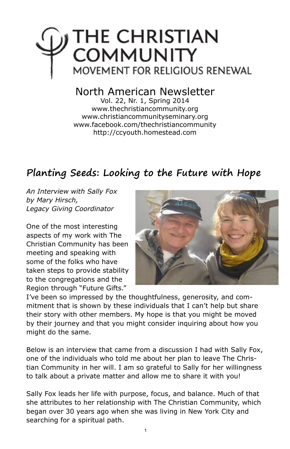

## North American Newsletter

Vol. 22, Nr. 1, Spring 2014 www.thechristiancommunity.org www.christiancommunityseminary.org www.facebook.com/thechristiancommunity http://ccyouth.homestead.com

## **Planting Seeds: Looking to the Future with Hope**

*An Interview with Sally Fox by Mary Hirsch, Legacy Giving Coordinator*

One of the most interesting aspects of my work with The Christian Community has been meeting and speaking with some of the folks who have taken steps to provide stability to the congregations and the Region through "Future Gifts."



I've been so impressed by the thoughtfulness, generosity, and commitment that is shown by these individuals that I can't help but share their story with other members. My hope is that you might be moved by their journey and that you might consider inquiring about how you might do the same.

Below is an interview that came from a discussion I had with Sally Fox, one of the individuals who told me about her plan to leave The Christian Community in her will. I am so grateful to Sally for her willingness to talk about a private matter and allow me to share it with you!

Sally Fox leads her life with purpose, focus, and balance. Much of that she attributes to her relationship with The Christian Community, which began over 30 years ago when she was living in New York City and searching for a spiritual path.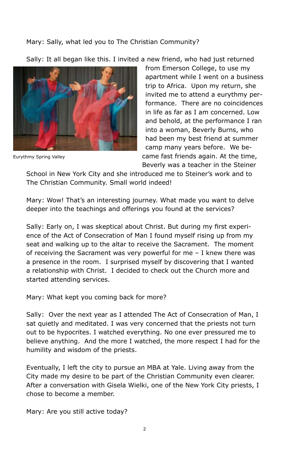## Mary: Sally, what led you to The Christian Community?

Sally: It all began like this. I invited a new friend, who had just returned



Eurythmy Spring Valley

from Emerson College, to use my apartment while I went on a business trip to Africa. Upon my return, she invited me to attend a eurythmy performance. There are no coincidences in life as far as I am concerned. Low and behold, at the performance I ran into a woman, Beverly Burns, who had been my best friend at summer camp many years before. We became fast friends again. At the time, Beverly was a teacher in the Steiner

School in New York City and she introduced me to Steiner's work and to The Christian Community. Small world indeed!

Mary: Wow! That's an interesting journey. What made you want to delve deeper into the teachings and offerings you found at the services?

Sally: Early on, I was skeptical about Christ. But during my first experience of the Act of Consecration of Man I found myself rising up from my seat and walking up to the altar to receive the Sacrament. The moment of receiving the Sacrament was very powerful for me – I knew there was a presence in the room. I surprised myself by discovering that I wanted a relationship with Christ. I decided to check out the Church more and started attending services.

Mary: What kept you coming back for more?

Sally: Over the next year as I attended The Act of Consecration of Man, I sat quietly and meditated. I was very concerned that the priests not turn out to be hypocrites. I watched everything. No one ever pressured me to believe anything. And the more I watched, the more respect I had for the humility and wisdom of the priests.

Eventually, I left the city to pursue an MBA at Yale. Living away from the City made my desire to be part of the Christian Community even clearer. After a conversation with Gisela Wielki, one of the New York City priests, I chose to become a member.

Mary: Are you still active today?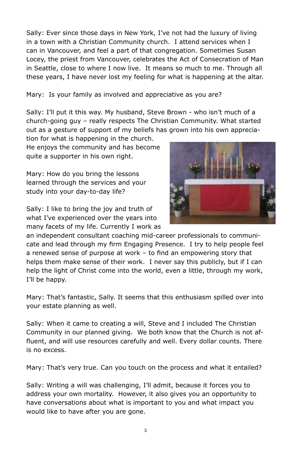Sally: Ever since those days in New York, I've not had the luxury of living in a town with a Christian Community church. I attend services when I can in Vancouver, and feel a part of that congregation. Sometimes Susan Locey, the priest from Vancouver, celebrates the Act of Consecration of Man in Seattle, close to where I now live. It means so much to me. Through all these years, I have never lost my feeling for what is happening at the altar.

Mary: Is your family as involved and appreciative as you are?

Sally: I'll put it this way. My husband, Steve Brown - who isn't much of a church-going guy – really respects The Christian Community. What started out as a gesture of support of my beliefs has grown into his own apprecia-

tion for what is happening in the church. He enjoys the community and has become quite a supporter in his own right.

Mary: How do you bring the lessons learned through the services and your study into your day-to-day life?

Sally: I like to bring the joy and truth of what I've experienced over the years into many facets of my life. Currently I work as



an independent consultant coaching mid-career professionals to communicate and lead through my firm Engaging Presence. I try to help people feel a renewed sense of purpose at work – to find an empowering story that helps them make sense of their work. I never say this publicly, but if I can help the light of Christ come into the world, even a little, through my work, I'll be happy.

Mary: That's fantastic, Sally. It seems that this enthusiasm spilled over into your estate planning as well.

Sally: When it came to creating a will, Steve and I included The Christian Community in our planned giving. We both know that the Church is not affluent, and will use resources carefully and well. Every dollar counts. There is no excess.

Mary: That's very true. Can you touch on the process and what it entailed?

Sally: Writing a will was challenging, I'll admit, because it forces you to address your own mortality. However, it also gives you an opportunity to have conversations about what is important to you and what impact you would like to have after you are gone.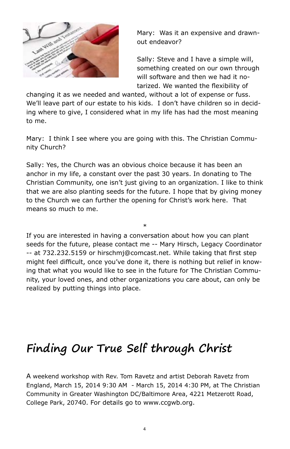

Mary: Was it an expensive and drawnout endeavor?

Sally: Steve and I have a simple will, something created on our own through will software and then we had it notarized. We wanted the flexibility of

changing it as we needed and wanted, without a lot of expense or fuss. We'll leave part of our estate to his kids. I don't have children so in deciding where to give, I considered what in my life has had the most meaning to me.

Mary: I think I see where you are going with this. The Christian Community Church?

Sally: Yes, the Church was an obvious choice because it has been an anchor in my life, a constant over the past 30 years. In donating to The Christian Community, one isn't just giving to an organization. I like to think that we are also planting seeds for the future. I hope that by giving money to the Church we can further the opening for Christ's work here. That means so much to me.

\* If you are interested in having a conversation about how you can plant seeds for the future, please contact me -- Mary Hirsch, Legacy Coordinator -- at 732.232.5159 or hirschmj@comcast.net. While taking that first step might feel difficult, once you've done it, there is nothing but relief in knowing that what you would like to see in the future for The Christian Community, your loved ones, and other organizations you care about, can only be realized by putting things into place.

# **Finding Our True Self through Christ**

A weekend workshop with Rev. Tom Ravetz and artist Deborah Ravetz from England, March 15, 2014 9:30 AM - March 15, 2014 4:30 PM, at The Christian Community in Greater Washington DC/Baltimore Area, 4221 Metzerott Road, College Park, 20740. For details go to www.ccgwb.org.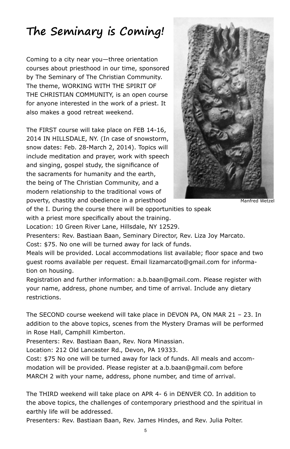# **The Seminary is Coming!**

Coming to a city near you—three orientation courses about priesthood in our time, sponsored by The Seminary of The Christian Community. The theme, WORKING WITH THE SPIRIT OF THE CHRISTIAN COMMUNITY, is an open course for anyone interested in the work of a priest. It also makes a good retreat weekend.

The FIRST course will take place on FEB 14-16, 2014 IN HILLSDALE, NY. (In case of snowstorm, snow dates: Feb. 28-March 2, 2014). Topics will include meditation and prayer, work with speech and singing, gospel study, the significance of the sacraments for humanity and the earth, the being of The Christian Community, and a modern relationship to the traditional vows of poverty, chastity and obedience in a priesthood



Manfred Wetzel

of the I. During the course there will be opportunities to speak

with a priest more specifically about the training.

Location: 10 Green River Lane, Hillsdale, NY 12529.

Presenters: Rev. Bastiaan Baan, Seminary Director, Rev. Liza Joy Marcato.

Cost: \$75. No one will be turned away for lack of funds.

Meals will be provided. Local accommodations list available; floor space and two guest rooms available per request. Email lizamarcato@gmail.com for information on housing.

Registration and further information: a.b.baan@gmail.com. Please register with your name, address, phone number, and time of arrival. Include any dietary restrictions.

The SECOND course weekend will take place in DEVON PA, ON MAR 21 – 23. In addition to the above topics, scenes from the Mystery Dramas will be performed in Rose Hall, Camphill Kimberton.

Presenters: Rev. Bastiaan Baan, Rev. Nora Minassian.

Location: 212 Old Lancaster Rd., Devon, PA 19333.

Cost: \$75 No one will be turned away for lack of funds. All meals and accommodation will be provided. Please register at a.b.baan@gmail.com before MARCH 2 with your name, address, phone number, and time of arrival.

The THIRD weekend will take place on APR 4- 6 in DENVER CO. In addition to the above topics, the challenges of contemporary priesthood and the spiritual in earthly life will be addressed.

Presenters: Rev. Bastiaan Baan, Rev. James Hindes, and Rev. Julia Polter.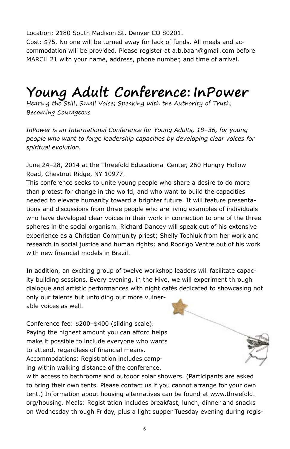Location: 2180 South Madison St. Denver CO 80201.

Cost: \$75. No one will be turned away for lack of funds. All meals and accommodation will be provided. Please register at a.b.baan@gmail.com before MARCH 21 with your name, address, phone number, and time of arrival.

# **Young Adult Conference: InPower**

Hearing the Still, Small Voice; Speaking with the Authority of Truth; Becoming Courageous

*InPower is an International Conference for Young Adults, 18–36, for young people who want to forge leadership capacities by developing clear voices for spiritual evolution.*

June 24–28, 2014 at the Threefold Educational Center, 260 Hungry Hollow Road, Chestnut Ridge, NY 10977.

This conference seeks to unite young people who share a desire to do more than protest for change in the world, and who want to build the capacities needed to elevate humanity toward a brighter future. It will feature presentations and discussions from three people who are living examples of individuals who have developed clear voices in their work in connection to one of the three spheres in the social organism. Richard Dancey will speak out of his extensive experience as a Christian Community priest; Shelly Tochluk from her work and research in social justice and human rights; and Rodrigo Ventre out of his work with new financial models in Brazil.

In addition, an exciting group of twelve workshop leaders will facilitate capacity building sessions. Every evening, in the Hive, we will experiment through dialogue and artistic performances with night cafés dedicated to showcasing not only our talents but unfolding our more vulner-

able voices as well.

Conference fee: \$200–\$400 (sliding scale). Paying the highest amount you can afford helps make it possible to include everyone who wants to attend, regardless of financial means. Accommodations: Registration includes camping within walking distance of the conference,

with access to bathrooms and outdoor solar showers. (Participants are asked to bring their own tents. Please contact us if you cannot arrange for your own tent.) Information about housing alternatives can be found at www.threefold. org/housing. Meals: Registration includes breakfast, lunch, dinner and snacks on Wednesday through Friday, plus a light supper Tuesday evening during regis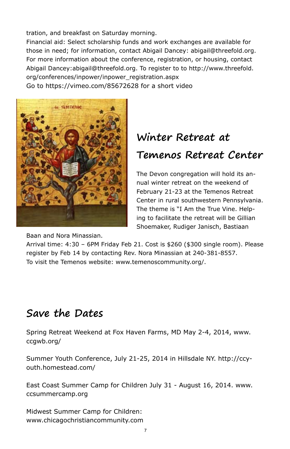tration, and breakfast on Saturday morning.

Financial aid: Select scholarship funds and work exchanges are available for those in need; for information, contact Abigail Dancey: abigail@threefold.org. For more information about the conference, registration, or housing, contact Abigail Dancey:abigail@threefold.org. To register to to http://www.threefold. org/conferences/inpower/inpower\_registration.aspx Go to https://vimeo.com/85672628 for a short video



# **Winter Retreat at Temenos Retreat Center**

The Devon congregation will hold its annual winter retreat on the weekend of February 21-23 at the Temenos Retreat Center in rural southwestern Pennsylvania. The theme is "I Am the True Vine. Helping to facilitate the retreat will be Gillian Shoemaker, Rudiger Janisch, Bastiaan

Baan and Nora Minassian.

Arrival time: 4:30 – 6PM Friday Feb 21. Cost is \$260 (\$300 single room). Please register by Feb 14 by contacting Rev. Nora Minassian at 240-381-8557. To visit the Temenos website: www.temenoscommunity.org/.

# **Save the Dates**

Spring Retreat Weekend at Fox Haven Farms, MD May 2-4, 2014, www. ccgwb.org/

Summer Youth Conference, July 21-25, 2014 in Hillsdale NY. http://ccyouth.homestead.com/

East Coast Summer Camp for Children July 31 - August 16, 2014. www. ccsummercamp.org

Midwest Summer Camp for Children: www.chicagochristiancommunity.com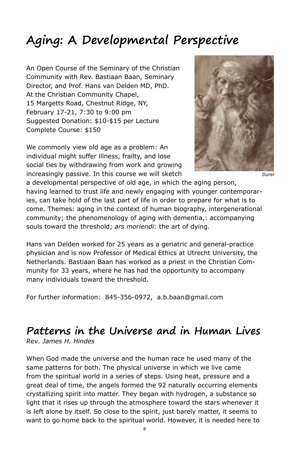# **Aging: A Developmental Perspective**

An Open Course of the Seminary of the Christian Community with Rev. Bastiaan Baan, Seminary Director, and Prof. Hans van Delden MD, PhD. At the Christian Community Chapel, 15 Margetts Road, Chestnut Ridge, NY, February 17-21, 7:30 to 9:00 pm Suggested Donation: \$10-\$15 per Lecture Complete Course: \$150

We commonly view old age as a problem: An individual might suffer illness, frailty, and lose social ties by withdrawing from work and growing increasingly passive. In this course we will sketch



Durar

a developmental perspective of old age, in which the aging person, having learned to trust life and newly engaging with younger contemporaries, can take hold of the last part of life in order to prepare for what is to come. Themes: aging in the context of human biography, intergenerational community; the phenomenology of aging with dementia,: accompanying souls toward the threshold; *ars moriendi*: the art of dying.

Hans van Delden worked for 25 years as a geriatric and general-practice physician and is now Professor of Medical Ethics at Utrecht University, the Netherlands. Bastiaan Baan has worked as a priest in the Christian Community for 33 years, where he has had the opportunity to accompany many individuals toward the threshold.

For further information: 845-356-0972, a.b.baan@gmail.com

## **Patterns in the Universe and in Human Lives** *Rev. James H. Hindes*

When God made the universe and the human race he used many of the same patterns for both. The physical universe in which we live came from the spiritual world in a series of steps. Using heat, pressure and a great deal of time, the angels formed the 92 naturally occurring elements crystallizing spirit into matter. They began with hydrogen, a substance so light that it rises up through the atmosphere toward the stars whenever it is left alone by itself. So close to the spirit, just barely matter, it seems to want to go home back to the spiritual world. However, it is needed here to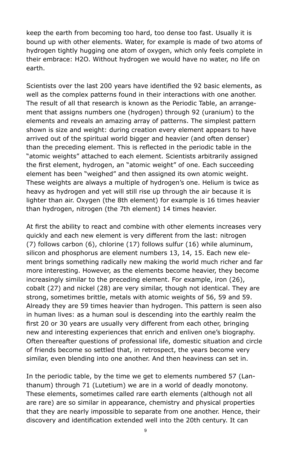keep the earth from becoming too hard, too dense too fast. Usually it is bound up with other elements. Water, for example is made of two atoms of hydrogen tightly hugging one atom of oxygen, which only feels complete in their embrace: H2O. Without hydrogen we would have no water, no life on earth.

Scientists over the last 200 years have identified the 92 basic elements, as well as the complex patterns found in their interactions with one another. The result of all that research is known as the Periodic Table, an arrangement that assigns numbers one (hydrogen) through 92 (uranium) to the elements and reveals an amazing array of patterns. The simplest pattern shown is size and weight: during creation every element appears to have arrived out of the spiritual world bigger and heavier (and often denser) than the preceding element. This is reflected in the periodic table in the "atomic weights" attached to each element. Scientists arbitrarily assigned the first element, hydrogen, an "atomic weight" of one. Each succeeding element has been "weighed" and then assigned its own atomic weight. These weights are always a multiple of hydrogen's one. Helium is twice as heavy as hydrogen and yet will still rise up through the air because it is lighter than air. Oxygen (the 8th element) for example is 16 times heavier than hydrogen, nitrogen (the 7th element) 14 times heavier.

At first the ability to react and combine with other elements increases very quickly and each new element is very different from the last: nitrogen (7) follows carbon (6), chlorine (17) follows sulfur (16) while aluminum, silicon and phosphorus are element numbers 13, 14, 15. Each new element brings something radically new making the world much richer and far more interesting. However, as the elements become heavier, they become increasingly similar to the preceding element. For example, iron (26), cobalt (27) and nickel (28) are very similar, though not identical. They are strong, sometimes brittle, metals with atomic weights of 56, 59 and 59. Already they are 59 times heavier than hydrogen. This pattern is seen also in human lives: as a human soul is descending into the earthly realm the first 20 or 30 years are usually very different from each other, bringing new and interesting experiences that enrich and enliven one's biography. Often thereafter questions of professional life, domestic situation and circle of friends become so settled that, in retrospect, the years become very similar, even blending into one another. And then heaviness can set in.

In the periodic table, by the time we get to elements numbered 57 (Lanthanum) through 71 (Lutetium) we are in a world of deadly monotony. These elements, sometimes called rare earth elements (although not all are rare) are so similar in appearance, chemistry and physical properties that they are nearly impossible to separate from one another. Hence, their discovery and identification extended well into the 20th century. It can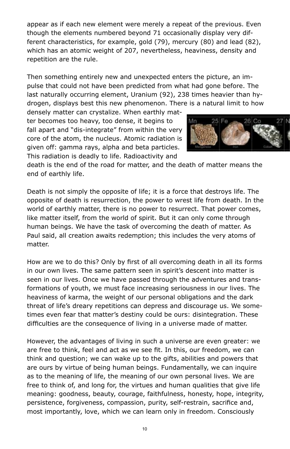appear as if each new element were merely a repeat of the previous. Even though the elements numbered beyond 71 occasionally display very different characteristics, for example, gold (79), mercury (80) and lead (82), which has an atomic weight of 207, nevertheless, heaviness, density and repetition are the rule.

Then something entirely new and unexpected enters the picture, an impulse that could not have been predicted from what had gone before. The last naturally occurring element, Uranium (92), 238 times heavier than hydrogen, displays best this new phenomenon. There is a natural limit to how

densely matter can crystalize. When earthly matter becomes too heavy, too dense, it begins to fall apart and "dis-integrate" from within the very core of the atom, the nucleus. Atomic radiation is given off: gamma rays, alpha and beta particles. This radiation is deadly to life. Radioactivity and



death is the end of the road for matter, and the death of matter means the end of earthly life.

Death is not simply the opposite of life; it is a force that destroys life. The opposite of death is resurrection, the power to wrest life from death. In the world of earthly matter, there is no power to resurrect. That power comes, like matter itself, from the world of spirit. But it can only come through human beings. We have the task of overcoming the death of matter. As Paul said, all creation awaits redemption; this includes the very atoms of matter.

How are we to do this? Only by first of all overcoming death in all its forms in our own lives. The same pattern seen in spirit's descent into matter is seen in our lives. Once we have passed through the adventures and transformations of youth, we must face increasing seriousness in our lives. The heaviness of karma, the weight of our personal obligations and the dark threat of life's dreary repetitions can depress and discourage us. We sometimes even fear that matter's destiny could be ours: disintegration. These difficulties are the consequence of living in a universe made of matter.

However, the advantages of living in such a universe are even greater: we are free to think, feel and act as we see fit. In this, our freedom, we can think and question; we can wake up to the gifts, abilities and powers that are ours by virtue of being human beings. Fundamentally, we can inquire as to the meaning of life, the meaning of our own personal lives. We are free to think of, and long for, the virtues and human qualities that give life meaning: goodness, beauty, courage, faithfulness, honesty, hope, integrity, persistence, forgiveness, compassion, purity, self-restrain, sacrifice and, most importantly, love, which we can learn only in freedom. Consciously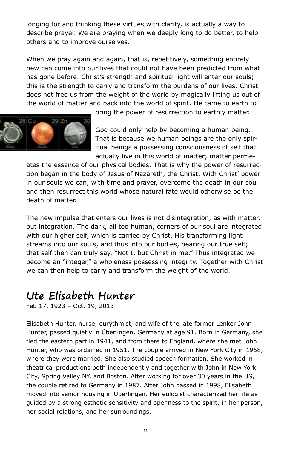longing for and thinking these virtues with clarity, is actually a way to describe prayer. We are praying when we deeply long to do better, to help others and to improve ourselves.

When we pray again and again, that is, repetitively, something entirely new can come into our lives that could not have been predicted from what has gone before. Christ's strength and spiritual light will enter our souls; this is the strength to carry and transform the burdens of our lives. Christ does not free us from the weight of the world by magically lifting us out of the world of matter and back into the world of spirit. He came to earth to



bring the power of resurrection to earthly matter.

God could only help by becoming a human being. That is because we human beings are the only spiritual beings a possessing consciousness of self that actually live in this world of matter; matter perme-

ates the essence of our physical bodies. That is why the power of resurrection began in the body of Jesus of Nazareth, the Christ. With Christ' power in our souls we can, with time and prayer, overcome the death in our soul and then resurrect this world whose natural fate would otherwise be the death of matter.

The new impulse that enters our lives is not disintegration, as with matter, but integration. The dark, all too human, corners of our soul are integrated with our higher self, which is carried by Christ. His transforming light streams into our souls, and thus into our bodies, bearing our true self; that self then can truly say, "Not I, but Christ in me." Thus integrated we become an "integer," a wholeness possessing integrity. Together with Christ we can then help to carry and transform the weight of the world.

## **Ute Elisabeth Hunter**

Feb 17, 1923 – Oct. 19, 2013

Elisabeth Hunter, nurse, eurythmist, and wife of the late former Lenker John Hunter, passed quietly in Überlingen, Germany at age 91. Born in Germany, she fled the eastern part in 1941, and from there to England, where she met John Hunter, who was ordained in 1951. The couple arrived in New York City in 1958, where they were married. She also studied speech formation. She worked in theatrical productions both independently and together with John in New York City, Spring Valley NY, and Boston. After working for over 30 years in the US, the couple retired to Germany in 1987. After John passed in 1998, Elisabeth moved into senior housing in Überlingen. Her eulogist characterized her life as guided by a strong esthetic sensitivity and openness to the spirit, in her person, her social relations, and her surroundings.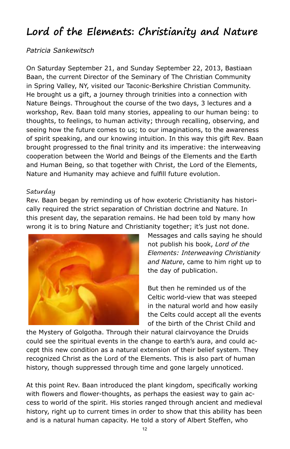# **Lord of the Elements: Christianity and Nature**

## *Patricia Sankewitsch*

On Saturday September 21, and Sunday September 22, 2013, Bastiaan Baan, the current Director of the Seminary of The Christian Community in Spring Valley, NY, visited our Taconic-Berkshire Christian Community. He brought us a gift, a journey through trinities into a connection with Nature Beings. Throughout the course of the two days, 3 lectures and a workshop, Rev. Baan told many stories, appealing to our human being: to thoughts, to feelings, to human activity; through recalling, observing, and seeing how the future comes to us; to our imaginations, to the awareness of spirit speaking, and our knowing intuition. In this way this gift Rev. Baan brought progressed to the final trinity and its imperative: the interweaving cooperation between the World and Beings of the Elements and the Earth and Human Being, so that together with Christ, the Lord of the Elements, Nature and Humanity may achieve and fulfill future evolution.

### Saturday

Rev. Baan began by reminding us of how exoteric Christianity has historically required the strict separation of Christian doctrine and Nature. In this present day, the separation remains. He had been told by many how wrong it is to bring Nature and Christianity together; it's just not done.



Messages and calls saying he should not publish his book, *Lord of the Elements: Interweaving Christianity and Nature*, came to him right up to the day of publication.

But then he reminded us of the Celtic world-view that was steeped in the natural world and how easily the Celts could accept all the events of the birth of the Christ Child and

the Mystery of Golgotha. Through their natural clairvoyance the Druids could see the spiritual events in the change to earth's aura, and could accept this new condition as a natural extension of their belief system. They recognized Christ as the Lord of the Elements. This is also part of human history, though suppressed through time and gone largely unnoticed.

At this point Rev. Baan introduced the plant kingdom, specifically working with flowers and flower-thoughts, as perhaps the easiest way to gain access to world of the spirit. His stories ranged through ancient and medieval history, right up to current times in order to show that this ability has been and is a natural human capacity. He told a story of Albert Steffen, who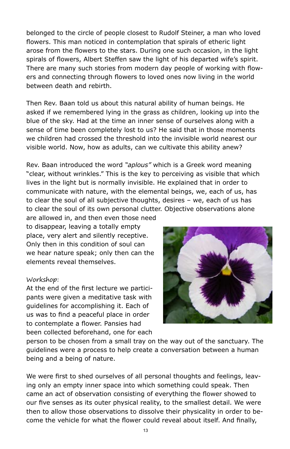belonged to the circle of people closest to Rudolf Steiner, a man who loved flowers. This man noticed in contemplation that spirals of etheric light arose from the flowers to the stars. During one such occasion, in the light spirals of flowers, Albert Steffen saw the light of his departed wife's spirit. There are many such stories from modern day people of working with flowers and connecting through flowers to loved ones now living in the world between death and rebirth.

Then Rev. Baan told us about this natural ability of human beings. He asked if we remembered lying in the grass as children, looking up into the blue of the sky. Had at the time an inner sense of ourselves along with a sense of time been completely lost to us? He said that in those moments we children had crossed the threshold into the invisible world nearest our visible world. Now, how as adults, can we cultivate this ability anew?

Rev. Baan introduced the word *"aplous"* which is a Greek word meaning "clear, without wrinkles." This is the key to perceiving as visible that which lives in the light but is normally invisible. He explained that in order to communicate with nature, with the elemental beings, we, each of us, has to clear the soul of all subjective thoughts, desires – we, each of us has to clear the soul of its own personal clutter. Objective observations alone

are allowed in, and then even those need to disappear, leaving a totally empty place, very alert and silently receptive. Only then in this condition of soul can we hear nature speak; only then can the elements reveal themselves.

### Workshop:

At the end of the first lecture we participants were given a meditative task with guidelines for accomplishing it. Each of us was to find a peaceful place in order to contemplate a flower. Pansies had been collected beforehand, one for each



person to be chosen from a small tray on the way out of the sanctuary. The guidelines were a process to help create a conversation between a human being and a being of nature.

We were first to shed ourselves of all personal thoughts and feelings, leaving only an empty inner space into which something could speak. Then came an act of observation consisting of everything the flower showed to our five senses as its outer physical reality, to the smallest detail. We were then to allow those observations to dissolve their physicality in order to become the vehicle for what the flower could reveal about itself. And finally,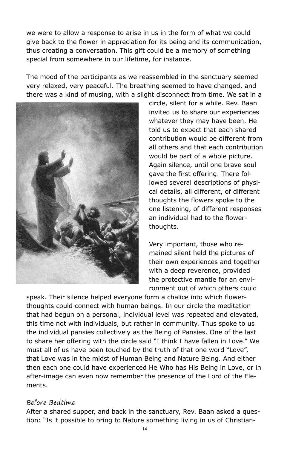we were to allow a response to arise in us in the form of what we could give back to the flower in appreciation for its being and its communication, thus creating a conversation. This gift could be a memory of something special from somewhere in our lifetime, for instance.

The mood of the participants as we reassembled in the sanctuary seemed very relaxed, very peaceful. The breathing seemed to have changed, and there was a kind of musing, with a slight disconnect from time. We sat in a



circle, silent for a while. Rev. Baan invited us to share our experiences whatever they may have been. He told us to expect that each shared contribution would be different from all others and that each contribution would be part of a whole picture. Again silence, until one brave soul gave the first offering. There followed several descriptions of physical details, all different, of different thoughts the flowers spoke to the one listening, of different responses an individual had to the flowerthoughts.

Very important, those who remained silent held the pictures of their own experiences and together with a deep reverence, provided the protective mantle for an environment out of which others could

speak. Their silence helped everyone form a chalice into which flowerthoughts could connect with human beings. In our circle the meditation that had begun on a personal, individual level was repeated and elevated, this time not with individuals, but rather in community. Thus spoke to us the individual pansies collectively as the Being of Pansies. One of the last to share her offering with the circle said "I think I have fallen in Love." We must all of us have been touched by the truth of that one word "Love", that Love was in the midst of Human Being and Nature Being. And either then each one could have experienced He Who has His Being in Love, or in after-image can even now remember the presence of the Lord of the Elements.

#### Before Bedtime

After a shared supper, and back in the sanctuary, Rev. Baan asked a question: "Is it possible to bring to Nature something living in us of Christian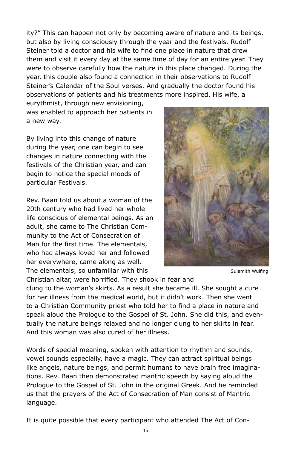ity?" This can happen not only by becoming aware of nature and its beings, but also by living consciously through the year and the festivals. Rudolf Steiner told a doctor and his wife to find one place in nature that drew them and visit it every day at the same time of day for an entire year. They were to observe carefully how the nature in this place changed. During the year, this couple also found a connection in their observations to Rudolf Steiner's Calendar of the Soul verses. And gradually the doctor found his observations of patients and his treatments more inspired. His wife, a

eurythmist, through new envisioning, was enabled to approach her patients in a new way.

By living into this change of nature during the year, one can begin to see changes in nature connecting with the festivals of the Christian year, and can begin to notice the special moods of particular Festivals.

Rev. Baan told us about a woman of the 20th century who had lived her whole life conscious of elemental beings. As an adult, she came to The Christian Community to the Act of Consecration of Man for the first time. The elementals, who had always loved her and followed her everywhere, came along as well. The elementals, so unfamiliar with this



Sulamith Wulfing

Christian altar, were horrified. They shook in fear and

clung to the woman's skirts. As a result she became ill. She sought a cure for her illness from the medical world, but it didn't work. Then she went to a Christian Community priest who told her to find a place in nature and speak aloud the Prologue to the Gospel of St. John. She did this, and eventually the nature beings relaxed and no longer clung to her skirts in fear. And this woman was also cured of her illness.

Words of special meaning, spoken with attention to rhythm and sounds, vowel sounds especially, have a magic. They can attract spiritual beings like angels, nature beings, and permit humans to have brain free imaginations. Rev. Baan then demonstrated mantric speech by saying aloud the Prologue to the Gospel of St. John in the original Greek. And he reminded us that the prayers of the Act of Consecration of Man consist of Mantric language.

It is quite possible that every participant who attended The Act of Con-